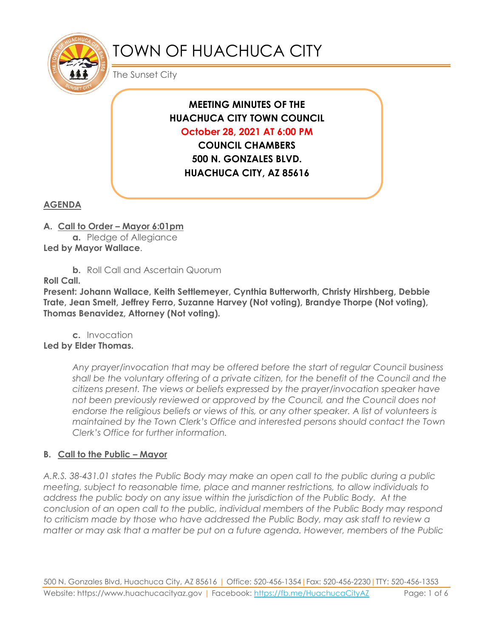

# TOWN OF HUACHUCA CITY

The Sunset City

# **MEETING MINUTES OF THE HUACHUCA CITY TOWN COUNCIL October 28, 2021 AT 6:00 PM**

**COUNCIL CHAMBERS 500 N. GONZALES BLVD. HUACHUCA CITY, AZ 85616**

# **AGENDA**

#### **A. Call to Order – Mayor 6:01pm**

**a.** Pledge of Allegiance **Led by Mayor Wallace**.

**b.** Roll Call and Ascertain Quorum

**Roll Call.**

**Present: Johann Wallace, Keith Settlemeyer, Cynthia Butterworth, Christy Hirshberg, Debbie Trate, Jean Smelt, Jeffrey Ferro, Suzanne Harvey (Not voting), Brandye Thorpe (Not voting), Thomas Benavidez, Attorney (Not voting).**

**c.** Invocation **Led by Elder Thomas.**

> *Any prayer/invocation that may be offered before the start of regular Council business shall be the voluntary offering of a private citizen, for the benefit of the Council and the citizens present. The views or beliefs expressed by the prayer/invocation speaker have not been previously reviewed or approved by the Council, and the Council does not endorse the religious beliefs or views of this, or any other speaker. A list of volunteers is maintained by the Town Clerk's Office and interested persons should contact the Town Clerk's Office for further information.*

# **B. Call to the Public – Mayor**

*A.R.S. 38-431.01 states the Public Body may make an open call to the public during a public meeting, subject to reasonable time, place and manner restrictions, to allow individuals to address the public body on any issue within the jurisdiction of the Public Body. At the conclusion of an open call to the public, individual members of the Public Body may respond to criticism made by those who have addressed the Public Body, may ask staff to review a matter or may ask that a matter be put on a future agenda. However, members of the Public*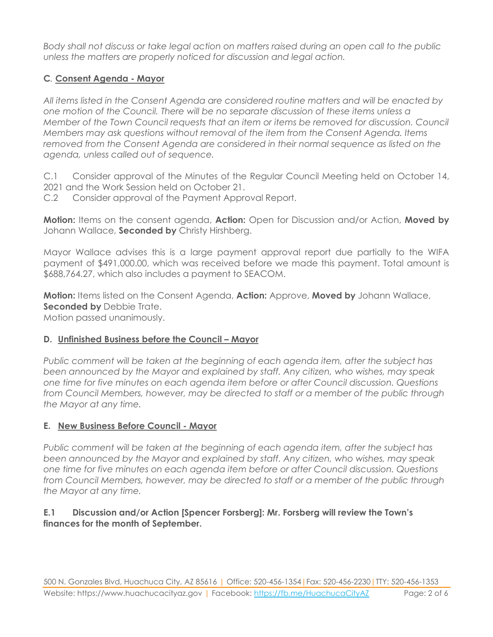*Body shall not discuss or take legal action on matters raised during an open call to the public unless the matters are properly noticed for discussion and legal action.*

# **C***.* **Consent Agenda - Mayor**

*All items listed in the Consent Agenda are considered routine matters and will be enacted by one motion of the Council. There will be no separate discussion of these items unless a Member of the Town Council requests that an item or items be removed for discussion. Council Members may ask questions without removal of the item from the Consent Agenda. Items removed from the Consent Agenda are considered in their normal sequence as listed on the agenda, unless called out of sequence.*

C.1 Consider approval of the Minutes of the Regular Council Meeting held on October 14, 2021 and the Work Session held on October 21.

C.2 Consider approval of the Payment Approval Report.

**Motion:** Items on the consent agenda, **Action:** Open for Discussion and/or Action, **Moved by** Johann Wallace, **Seconded by** Christy Hirshberg.

Mayor Wallace advises this is a large payment approval report due partially to the WIFA payment of \$491,000.00, which was received before we made this payment. Total amount is \$688,764.27, which also includes a payment to SEACOM.

**Motion:** Items listed on the Consent Agenda, **Action:** Approve, **Moved by** Johann Wallace, **Seconded by Debbie Trate.** 

Motion passed unanimously.

#### **D. Unfinished Business before the Council – Mayor**

*Public comment will be taken at the beginning of each agenda item, after the subject has been announced by the Mayor and explained by staff. Any citizen, who wishes, may speak one time for five minutes on each agenda item before or after Council discussion. Questions from Council Members, however, may be directed to staff or a member of the public through the Mayor at any time.*

#### **E. New Business Before Council - Mayor**

*Public comment will be taken at the beginning of each agenda item, after the subject has been announced by the Mayor and explained by staff. Any citizen, who wishes, may speak one time for five minutes on each agenda item before or after Council discussion. Questions from Council Members, however, may be directed to staff or a member of the public through the Mayor at any time.*

#### **E.1 Discussion and/or Action [Spencer Forsberg]: Mr. Forsberg will review the Town's finances for the month of September.**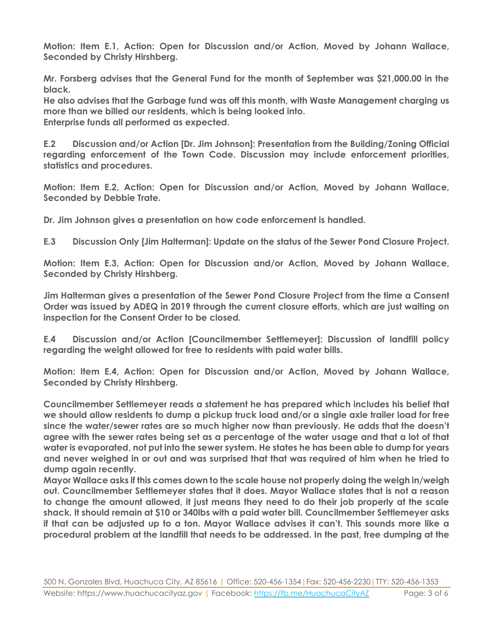**Motion: Item E.1, Action: Open for Discussion and/or Action, Moved by Johann Wallace, Seconded by Christy Hirshberg.**

**Mr. Forsberg advises that the General Fund for the month of September was \$21,000.00 in the black.**

**He also advises that the Garbage fund was off this month, with Waste Management charging us more than we billed our residents, which is being looked into. Enterprise funds all performed as expected.**

**E.2 Discussion and/or Action [Dr. Jim Johnson]: Presentation from the Building/Zoning Official regarding enforcement of the Town Code. Discussion may include enforcement priorities, statistics and procedures.**

**Motion: Item E.2, Action: Open for Discussion and/or Action, Moved by Johann Wallace, Seconded by Debbie Trate.**

**Dr. Jim Johnson gives a presentation on how code enforcement is handled.**

**E.3 Discussion Only [Jim Halterman]: Update on the status of the Sewer Pond Closure Project.**

**Motion: Item E.3, Action: Open for Discussion and/or Action, Moved by Johann Wallace, Seconded by Christy Hirshberg.**

**Jim Halterman gives a presentation of the Sewer Pond Closure Project from the time a Consent Order was issued by ADEQ in 2019 through the current closure efforts, which are just waiting on inspection for the Consent Order to be closed.**

**E.4 Discussion and/or Action [Councilmember Settlemeyer]: Discussion of landfill policy regarding the weight allowed for free to residents with paid water bills.** 

**Motion: Item E.4, Action: Open for Discussion and/or Action, Moved by Johann Wallace, Seconded by Christy Hirshberg.**

**Councilmember Settlemeyer reads a statement he has prepared which includes his belief that we should allow residents to dump a pickup truck load and/or a single axle trailer load for free since the water/sewer rates are so much higher now than previously. He adds that the doesn't agree with the sewer rates being set as a percentage of the water usage and that a lot of that water is evaporated, not put into the sewer system. He states he has been able to dump for years and never weighed in or out and was surprised that that was required of him when he tried to dump again recently.** 

**Mayor Wallace asks if this comes down to the scale house not properly doing the weigh in/weigh out. Councilmember Settlemeyer states that it does. Mayor Wallace states that is not a reason to change the amount allowed, it just means they need to do their job properly at the scale shack. It should remain at \$10 or 340lbs with a paid water bill. Councilmember Settlemeyer asks if that can be adjusted up to a ton. Mayor Wallace advises it can't. This sounds more like a procedural problem at the landfill that needs to be addressed. In the past, free dumping at the**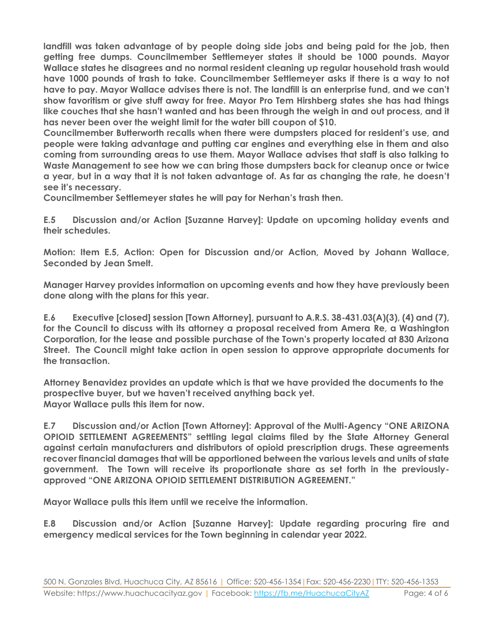**landfill was taken advantage of by people doing side jobs and being paid for the job, then getting free dumps. Councilmember Settlemeyer states it should be 1000 pounds. Mayor Wallace states he disagrees and no normal resident cleaning up regular household trash would have 1000 pounds of trash to take. Councilmember Settlemeyer asks if there is a way to not have to pay. Mayor Wallace advises there is not. The landfill is an enterprise fund, and we can't show favoritism or give stuff away for free. Mayor Pro Tem Hirshberg states she has had things like couches that she hasn't wanted and has been through the weigh in and out process, and it has never been over the weight limit for the water bill coupon of \$10.**

**Councilmember Butterworth recalls when there were dumpsters placed for resident's use, and people were taking advantage and putting car engines and everything else in them and also coming from surrounding areas to use them. Mayor Wallace advises that staff is also talking to Waste Management to see how we can bring those dumpsters back for cleanup once or twice a year, but in a way that it is not taken advantage of. As far as changing the rate, he doesn't see it's necessary.** 

**Councilmember Settlemeyer states he will pay for Nerhan's trash then.**

**E.5 Discussion and/or Action [Suzanne Harvey]: Update on upcoming holiday events and their schedules.**

**Motion: Item E.5, Action: Open for Discussion and/or Action, Moved by Johann Wallace, Seconded by Jean Smelt.**

**Manager Harvey provides information on upcoming events and how they have previously been done along with the plans for this year.** 

**E.6 Executive [closed] session [Town Attorney], pursuant to A.R.S. 38-431.03(A)(3), (4) and (7), for the Council to discuss with its attorney a proposal received from Amera Re, a Washington Corporation, for the lease and possible purchase of the Town's property located at 830 Arizona Street. The Council might take action in open session to approve appropriate documents for the transaction.**

**Attorney Benavidez provides an update which is that we have provided the documents to the prospective buyer, but we haven't received anything back yet. Mayor Wallace pulls this item for now.** 

**E.7 Discussion and/or Action [Town Attorney]: Approval of the Multi-Agency "ONE ARIZONA OPIOID SETTLEMENT AGREEMENTS" settling legal claims filed by the State Attorney General against certain manufacturers and distributors of opioid prescription drugs. These agreements recover financial damages that will be apportioned between the various levels and units of state government. The Town will receive its proportionate share as set forth in the previouslyapproved "ONE ARIZONA OPIOID SETTLEMENT DISTRIBUTION AGREEMENT."**

**Mayor Wallace pulls this item until we receive the information.**

**E.8 Discussion and/or Action [Suzanne Harvey]: Update regarding procuring fire and emergency medical services for the Town beginning in calendar year 2022.**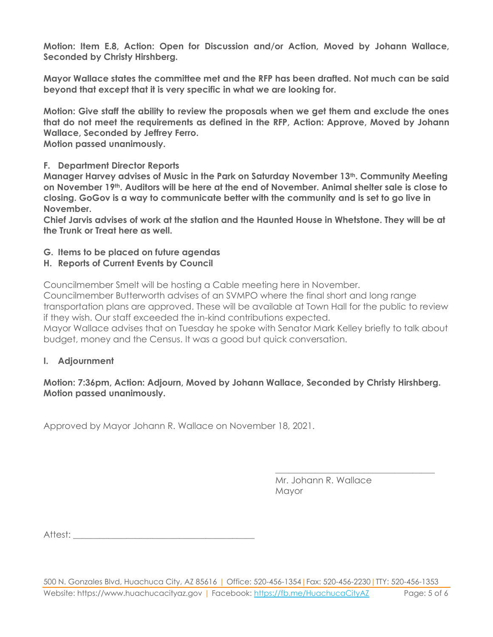**Motion: Item E.8, Action: Open for Discussion and/or Action, Moved by Johann Wallace, Seconded by Christy Hirshberg.**

**Mayor Wallace states the committee met and the RFP has been drafted. Not much can be said beyond that except that it is very specific in what we are looking for.**

**Motion: Give staff the ability to review the proposals when we get them and exclude the ones that do not meet the requirements as defined in the RFP, Action: Approve, Moved by Johann Wallace, Seconded by Jeffrey Ferro.**

**Motion passed unanimously.**

#### **F. Department Director Reports**

**Manager Harvey advises of Music in the Park on Saturday November 13th. Community Meeting on November 19th. Auditors will be here at the end of November. Animal shelter sale is close to closing. GoGov is a way to communicate better with the community and is set to go live in November.** 

**Chief Jarvis advises of work at the station and the Haunted House in Whetstone. They will be at the Trunk or Treat here as well.**

**G. Items to be placed on future agendas**

#### **H. Reports of Current Events by Council**

Councilmember Smelt will be hosting a Cable meeting here in November.

Councilmember Butterworth advises of an SVMPO where the final short and long range transportation plans are approved. These will be available at Town Hall for the public to review if they wish. Our staff exceeded the in-kind contributions expected.

Mayor Wallace advises that on Tuesday he spoke with Senator Mark Kelley briefly to talk about budget, money and the Census. It was a good but quick conversation.

#### **I. Adjournment**

#### **Motion: 7:36pm, Action: Adjourn, Moved by Johann Wallace, Seconded by Christy Hirshberg. Motion passed unanimously.**

Approved by Mayor Johann R. Wallace on November 18, 2021.

Mr. Johann R. Wallace Mayor

\_\_\_\_\_\_\_\_\_\_\_\_\_\_\_\_\_\_\_\_\_\_\_\_\_\_\_\_\_\_\_\_\_\_\_\_

Attest: